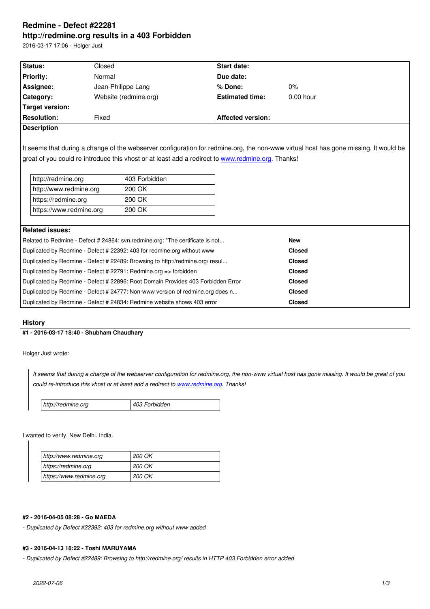#### **http://redmine.org results in a 403 Forbidden**

2016-03-17 17:06 - Holger Just

| Status:                 | Closed                |                                                                               | Start date:                                                                                       |                                                                                                                                      |  |
|-------------------------|-----------------------|-------------------------------------------------------------------------------|---------------------------------------------------------------------------------------------------|--------------------------------------------------------------------------------------------------------------------------------------|--|
| <b>Priority:</b>        | Normal                |                                                                               | Due date:                                                                                         |                                                                                                                                      |  |
| Assignee:               |                       | Jean-Philippe Lang                                                            | % Done:                                                                                           | $0\%$                                                                                                                                |  |
| Category:               | Website (redmine.org) |                                                                               | <b>Estimated time:</b>                                                                            | $0.00$ hour                                                                                                                          |  |
| <b>Target version:</b>  |                       |                                                                               |                                                                                                   |                                                                                                                                      |  |
| <b>Resolution:</b>      | Fixed                 |                                                                               | <b>Affected version:</b>                                                                          |                                                                                                                                      |  |
| <b>Description</b>      |                       |                                                                               |                                                                                                   |                                                                                                                                      |  |
|                         |                       |                                                                               |                                                                                                   | It seems that during a change of the webserver configuration for redmine.org, the non-www virtual host has gone missing. It would be |  |
| http://redmine.org      |                       | 403 Forbidden                                                                 | great of you could re-introduce this vhost or at least add a redirect to www.redmine.org. Thanks! |                                                                                                                                      |  |
| http://www.redmine.org  |                       | 200 OK                                                                        |                                                                                                   |                                                                                                                                      |  |
| https://redmine.org     |                       | 200 OK                                                                        |                                                                                                   |                                                                                                                                      |  |
| https://www.redmine.org |                       | 200 OK                                                                        |                                                                                                   |                                                                                                                                      |  |
|                         |                       |                                                                               |                                                                                                   |                                                                                                                                      |  |
| <b>Related issues:</b>  |                       |                                                                               |                                                                                                   |                                                                                                                                      |  |
|                         |                       | Related to Redmine - Defect # 24864: svn.redmine.org: "The certificate is not |                                                                                                   | <b>New</b>                                                                                                                           |  |

| Duplicated by Redmine - Defect # 22489: Browsing to http://redmine.org/ resul    | <b>Closed</b> |  |
|----------------------------------------------------------------------------------|---------------|--|
| Duplicated by Redmine - Defect # 22791: Redmine.org => forbidden                 | <b>Closed</b> |  |
| Duplicated by Redmine - Defect # 22896: Root Domain Provides 403 Forbidden Error | <b>Closed</b> |  |
| Duplicated by Redmine - Defect # 24777: Non-www version of redmine.org does n    | <b>Closed</b> |  |
| Duplicated by Redmine - Defect # 24834: Redmine website shows 403 error          | Closed        |  |

### **History**

# **#1 - 2016-03-17 18:40 - Shubham Chaudhary**

Holger Just wrote:

*It seems that during a change of the webserver configuration for redmine.org, the non-www virtual host has gone missing. It would be great of you could re-introduce this vhost or at least add a redirect to www.redmine.org. Thanks!*

| http://redmine.org | 403 Forbidden |
|--------------------|---------------|
|--------------------|---------------|

I wanted to verify. New Delhi. India.

| http://www.redmine.org  | <i>200 OK</i> |
|-------------------------|---------------|
| https://redmine.org     | <b>200 OK</b> |
| https://www.redmine.org | <i>200 OK</i> |

# **#2 - 2016-04-05 08:28 - Go MAEDA**

*- Duplicated by Defect #22392: 403 for redmine.org without www added*

#### **#3 - 2016-04-13 18:22 - Toshi MARUYAMA**

*- Duplicated by Defect #22489: Browsing to http://redmine.org/ results in HTTP 403 Forbidden error added*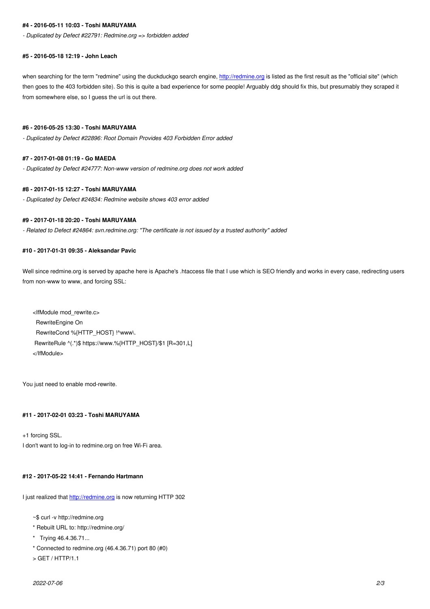#### *- Duplicated by Defect #22791: Redmine.org => forbidden added*

#### **#5 - 2016-05-18 12:19 - John Leach**

when searching for the term "redmine" using the duckduckgo search engine, http://redmine.org is listed as the first result as the "official site" (which then goes to the 403 forbidden site). So this is quite a bad experience for some people! Arguably ddg should fix this, but presumably they scraped it from somewhere else, so I guess the url is out there.

## **#6 - 2016-05-25 13:30 - Toshi MARUYAMA**

*- Duplicated by Defect #22896: Root Domain Provides 403 Forbidden Error added*

#### **#7 - 2017-01-08 01:19 - Go MAEDA**

*- Duplicated by Defect #24777: Non-www version of redmine.org does not work added*

# **#8 - 2017-01-15 12:27 - Toshi MARUYAMA**

*- Duplicated by Defect #24834: Redmine website shows 403 error added*

### **#9 - 2017-01-18 20:20 - Toshi MARUYAMA**

*- Related to Defect #24864: svn.redmine.org: "The certificate is not issued by a trusted authority" added*

### **#10 - 2017-01-31 09:35 - Aleksandar Pavic**

Well since redmine.org is served by apache here is Apache's .htaccess file that I use which is SEO friendly and works in every case, redirecting users from non-www to www, and forcing SSL:

<IfModule mod\_rewrite.c> RewriteEngine On RewriteCond %{HTTP\_HOST} !^www\. RewriteRule ^(.\*)\$ https://www.%{HTTP\_HOST}/\$1 [R=301,L] </IfModule>

You just need to enable mod-rewrite.

# **#11 - 2017-02-01 03:23 - Toshi MARUYAMA**

+1 forcing SSL. I don't want to log-in to redmine.org on free Wi-Fi area.

### **#12 - 2017-05-22 14:41 - Fernando Hartmann**

I just realized that http://redmine.org is now returning HTTP 302

~\$ curl -v http://redmine.org

- \* Rebuilt URL [to: http://redmine.o](http://redmine.org)rg/
- \* Trying 46.4.36.71...
- \* Connected to redmine.org (46.4.36.71) port 80 (#0)
- > GET / HTTP/1.1